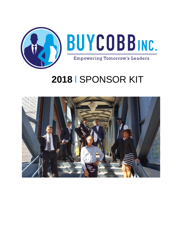

# 2018 | SPONSOR KIT

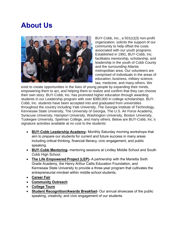# **About Us**



BUY-Cobb, Inc., a 501(c)(3) non-profit organization, solicits the support of our community to help offset the costs associated with our youth programs. Established in 1991, BUY-Cobb, Inc. facilitates mentorship, scholarship, and leadership in the youth of Cobb County and the surrounding Atlanta metropolitan area. Our volunteers are comprised of individuals in the areas of education, business, military science, law, medicine, and many others. We

exist to create opportunities in the lives of young people by expanding their minds, empowering them to act, and helping them to realize and confirm that they can choose their own story. BUY-Cobb, Inc. has promoted higher education through awarding students in our Leadership program with over \$380,000 in college scholarships. BUY-Cobb, Inc. students have been accepted into and graduated from universities throughout the country including Yale University, The Georgia Institute of Technology, Kennesaw State University, The University of Georgia, The U.S. Air Force Academy, Syracuse University, Hampton University, Washington University, Boston University, Tuskegee University, Spelman College, and many others. Below are BUY-Cobb, lnc.'s signature activities available at no cost to the students:

- **BUY-Cobb Leadership Academy-** Monthly Saturday morning workshops that aim to prepare our students for current and future success in many areas including critical thinking, financial literacy, civic engagement, and public speaking.
- **BUY-Cobb Mentoring-** mentoring sessions at Lindley Middle School and South Cobb High School.
- **The Life Empowered Project (LEP)-** A partnership with the Marietta Sixth Grade Academy, the Henry Arthur Callis Education Foundation, and Kennesaw State University to provide a three-year program that cultivates the entrepreneurial mindset within middle school students.
- **Career Fair**
- **Community Outreach**
- **College Tours**
- **Student Recognition/Awards Breakfast-** Our annual showcase of the public speaking, creativity, and civic engagement of our students.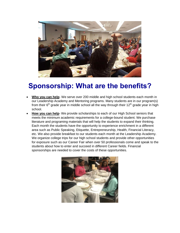

## **Sponsorship: What are the benefits?**

- **Who you can help** We serve over 200 middle and high school students each month in our Leadership Academy and Mentoring programs. Many students are in our program(s) from their  $6<sup>th</sup>$  grade year in middle school all the way through their 12<sup>th</sup> grade year in high school.
- **How you can help** We provide scholarships to each of our High School seniors that meets the minimum academic requirements for a college-bound student. We purchase literature and programing materials that will help the students to expand their thinking. Each month the students have the opportunity to experience enrichment in a different area such as Public Speaking, Etiquette, Entrepreneurship, Health, Financial Literacy, etc. We also provide breakfast to our students each month at the Leadership Academy. We organize college trips for our high school students and provide other opportunities for exposure such as our Career Fair when over 50 professionals come and speak to the students about how to enter and succeed in different Career fields. Financial sponsorships are needed to cover the costs of these opportunities.

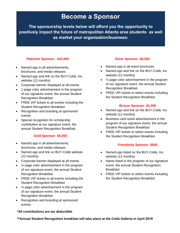### **Become a Sponsor**

**The sponsorship levels below will afford you the opportunity to positively impact the future of metropolitan Atlanta area students as well as market your organization/business:**

#### **Platinum Sponsor - \$10,000**

- Name/Logo in all advertisements, brochures, and media releases
- Name/Logo and link on the BUY-Cobb, Inc. website (12 months)
- Corporate banner displayed at all events
- 1-page color advertisement in the program of our signature event, the annual Student Recognition Breakfast
- FREE VIP tickets to all events including the Student Recognition Breakfast
- Recognition and branding at sponsored events
- Special recognition for scholarship contribution at our signature event, the annual Student Recognition Breakfast

#### **Gold Sponsor- \$5,000**

- Name/Logo in all advertisements, brochures, and media releases
- Name/Logo and link on BUY-Cobb website (12 months)
- Corporate banner displayed at all events
- 1/<sub>2</sub> page color advertisement in the program of our signature event, the annual Student Recognition Breakfast
- FREE VIP tickets to all events including the Student Recognition Breakfast
- 1/<sub>2</sub> page color advertisement in the program of our signature event, the annual Student Recognition Breakfast
- Recognition and branding at sponsored events

#### **\*All contributions are tax deductible**

#### **Silver Sponsor- \$2,500**

- Name/Logo in all event brochures
- Name/Logo and link on the BUY-Cobb, Inc. website (12 months)
- $\frac{1}{4}$  page color advertisement in the program of our signature event, the annual Student Recognition Breakfast
- FREE VIP tickets to select events including the Student Recognition Breakfast

#### **Bronze Sponsor- \$1,000**

- Name/Logo and link on the BUY-Cobb, Inc. website (12 months)
- Business card-sized advertisement in the program of our signature event, the annual Student Recognition Breakfast
- FREE VIP tickets to select events including the Student Recognition Breakfast

#### **Friendship Sponsor- \$500**

- Name/Logo listed on the BUY-Cobb, Inc. website (12 months)
- Name listed in the program of our signature event, the annual Student Recognition Breakfast
- FREE VIP tickets to select events including the Student Recognition Breakfast

**\*\*Annual Student Recognition breakfast will take place at the Cobb Galleria in April 2019**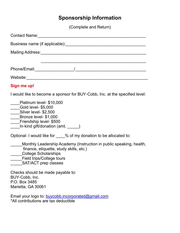### **Sponsorship Information**

(Complete and Return)

| Sign me up!                                                                                                                                                                                               |
|-----------------------------------------------------------------------------------------------------------------------------------------------------------------------------------------------------------|
| I would like to become a sponsor for BUY-Cobb, Inc. at the specified level:                                                                                                                               |
| Platinum level- \$10,000<br>____Gold level- \$5,000<br>Silver level- \$2,500<br>Bronze level- \$1,000<br>____Friendship level- \$500<br>In-kind gift/donation (amt. _____)                                |
| Optional- I would like for ____% of my donation to be allocated to:                                                                                                                                       |
| Monthly Leadership Academy (Instruction in public speaking, health,<br>finance, etiquette, study skills, etc.)<br><b>College Scholarships</b><br><b>Field trips/College tours</b><br>SAT/ACT prep classes |
| Checks should be made payable to:<br>BUY-Cobb, Inc.<br>P.O. Box 3485<br>Marietta, GA 30061                                                                                                                |
| Email your logo to: buycobb.incorporated@gmail.com<br>*All contributions are tax deductible                                                                                                               |